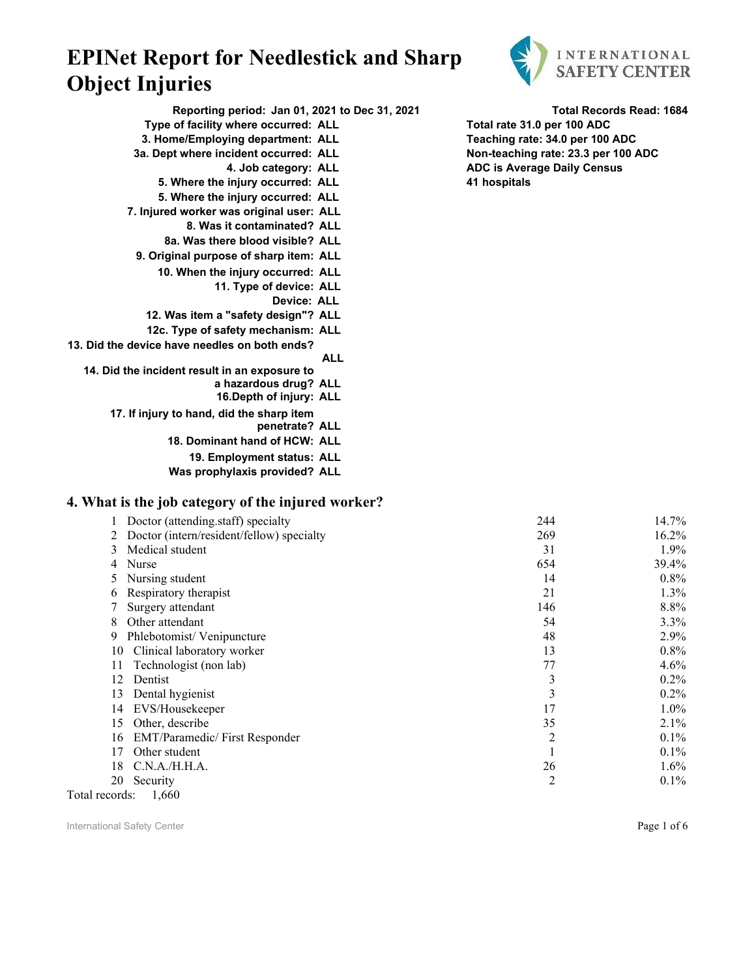

**Reporting period: Jan 01, 2021 to Dec 31, 2021 Total Records Read: 1684 Type of facility where occurred: ALL Total rate 31.0 per 100 ADC**

- 
- -
	- **5. Where the injury occurred: ALL 41 hospitals**
	- **5. Where the injury occurred: ALL**
- **7. Injured worker was original user: ALL**
	- **8. Was it contaminated? ALL**
	- **8a. Was there blood visible? ALL**
	- **9. Original purpose of sharp item: ALL**
		- **10. When the injury occurred: ALL**
			- **11. Type of device: ALL**
				- **Device: ALL**
		- **12. Was item a "safety design"? ALL**
		- **12c. Type of safety mechanism: ALL**
- **13. Did the device have needles on both ends?**
	- **ALL 14. Did the incident result in an exposure to**
		- **a hazardous drug? ALL**
			- **16.Depth of injury: ALL**
		- **17. If injury to hand, did the sharp item** 
			- **penetrate? ALL**
			- **18. Dominant hand of HCW: ALL**
			- **19. Employment status: ALL**
			- **Was prophylaxis provided? ALL**

#### **4. What is the job category of the injured worker?**

| Doctor (attending.staff) specialty         | 244 | 14.7%    |
|--------------------------------------------|-----|----------|
| Doctor (intern/resident/fellow) specialty  | 269 | $16.2\%$ |
| Medical student<br>3                       | 31  | 1.9%     |
| Nurse<br>4                                 | 654 | 39.4%    |
| Nursing student                            | 14  | $0.8\%$  |
| Respiratory therapist<br>6                 | 21  | $1.3\%$  |
| Surgery attendant                          | 146 | 8.8%     |
| Other attendant<br>8                       | 54  | $3.3\%$  |
| Phlebotomist/Venipuncture<br>9             | 48  | 2.9%     |
| Clinical laboratory worker<br>10           | 13  | $0.8\%$  |
| Technologist (non lab)<br>11               | 77  | 4.6%     |
| 12<br>Dentist                              | 3   | $0.2\%$  |
| 13<br>Dental hygienist                     | 3   | $0.2\%$  |
| EVS/Housekeeper<br>14                      | 17  | $1.0\%$  |
| Other, describe<br>15                      | 35  | 2.1%     |
| <b>EMT/Paramedic/First Responder</b><br>16 | 2   | $0.1\%$  |
| 17<br>Other student                        |     | $0.1\%$  |
| C.N.A./H.H.A.<br>18                        | 26  | $1.6\%$  |
| 20<br>Security                             | 2   | $0.1\%$  |
|                                            |     |          |

Total records: 1,660

International Safety Center **Page 1 of 6** and the page 1 of 6 and the page 1 of 6 and the page 1 of 6 and the page 1 of 6 and the page 1 of 6 and the page 1 of 6 and the page 1 of 6 and the page 1 of 6 and the page 1 of 6

**3. Home/Employing department: ALL Teaching rate: 34.0 per 100 ADC 3a. Dept where incident occurred: ALL Non-teaching rate: 23.3 per 100 ADC 4. Job category: ALL ADC is Average Daily Census**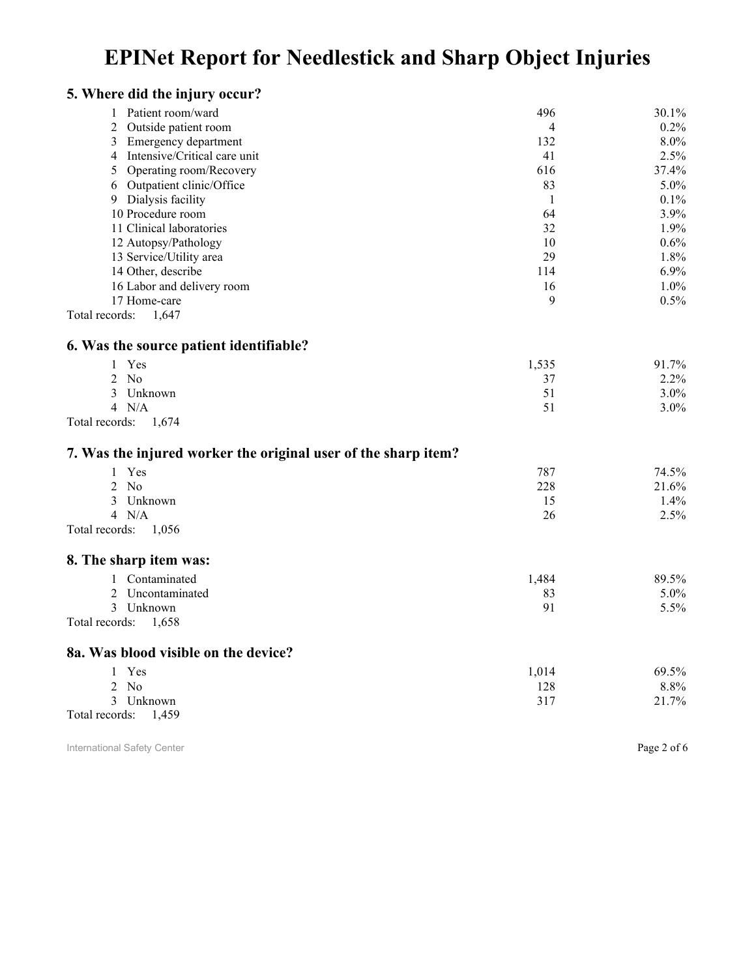| 5. Where did the injury occur?                                 |                |         |
|----------------------------------------------------------------|----------------|---------|
| 1 Patient room/ward                                            | 496            | 30.1%   |
| Outside patient room<br>$\overline{2}$                         | $\overline{4}$ | $0.2\%$ |
| $\mathfrak{Z}$<br><b>Emergency department</b>                  | 132            | 8.0%    |
| 4 Intensive/Critical care unit                                 | 41             | 2.5%    |
| 5<br>Operating room/Recovery                                   | 616            | 37.4%   |
| Outpatient clinic/Office<br>6                                  | 83             | 5.0%    |
| Dialysis facility<br>9                                         | 1              | 0.1%    |
| 10 Procedure room                                              | 64             | 3.9%    |
| 11 Clinical laboratories                                       | 32             | 1.9%    |
| 12 Autopsy/Pathology                                           | 10             | 0.6%    |
| 13 Service/Utility area                                        | 29             | 1.8%    |
| 14 Other, describe                                             | 114            | 6.9%    |
| 16 Labor and delivery room                                     | 16             | 1.0%    |
| 17 Home-care                                                   | 9              | 0.5%    |
| Total records:<br>1,647                                        |                |         |
| 6. Was the source patient identifiable?                        |                |         |
| 1 Yes                                                          | 1,535          | 91.7%   |
| $2$ No                                                         | 37             | 2.2%    |
| 3<br>Unknown                                                   | 51             | 3.0%    |
| 4 N/A                                                          | 51             | 3.0%    |
| Total records:<br>1,674                                        |                |         |
| 7. Was the injured worker the original user of the sharp item? |                |         |
| Yes<br>$\mathbf{1}$                                            | 787            | 74.5%   |
| $2$ No                                                         | 228            | 21.6%   |
| 3<br>Unknown                                                   | 15             | 1.4%    |
| 4 N/A                                                          | 26             | 2.5%    |
| Total records:<br>1,056                                        |                |         |
|                                                                |                |         |
| 8. The sharp item was:                                         |                |         |
| Contaminated<br>$\mathbf{1}$                                   | 1,484          | 89.5%   |
| 2<br>Uncontaminated                                            | 83             | 5.0%    |
| 3<br>Unknown                                                   | 91             | 5.5%    |
| Total records:<br>1,658                                        |                |         |
| 8a. Was blood visible on the device?                           |                |         |
| 1 Yes                                                          | 1,014          | 69.5%   |
| $2$ No                                                         | 128            | 8.8%    |
| 3 Unknown                                                      | 317            | 21.7%   |
| Total records:<br>1,459                                        |                |         |
|                                                                |                |         |

International Safety Center **Page 2 of 6** and  $\overline{P}$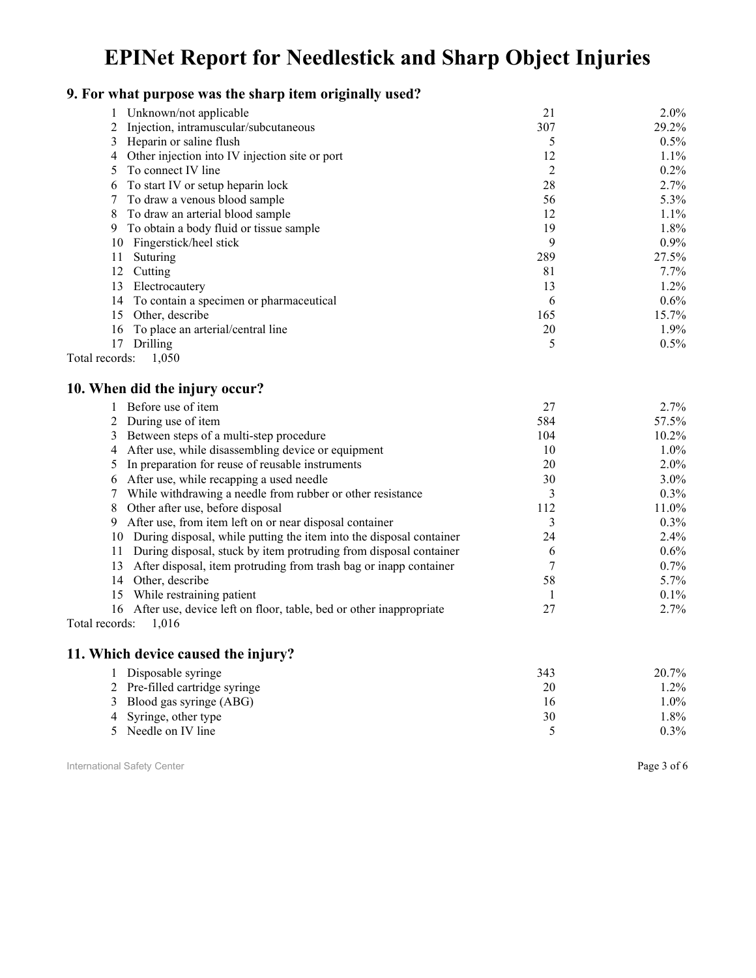### **9. For what purpose was the sharp item originally used?**

| Unknown/not applicable                              | 21  | $2.0\%$ |
|-----------------------------------------------------|-----|---------|
| Injection, intramuscular/subcutaneous               | 307 | 29.2%   |
| 3 Heparin or saline flush                           |     | 0.5%    |
| Other injection into IV injection site or port<br>4 | 12  | 1.1%    |
| To connect IV line                                  | 2   | $0.2\%$ |
| To start IV or setup heparin lock<br>6              | 28  | 2.7%    |
| To draw a venous blood sample                       | 56  | 5.3%    |
| To draw an arterial blood sample<br>8               | 12  | $1.1\%$ |
| To obtain a body fluid or tissue sample<br>9        | 19  | 1.8%    |
| Fingerstick/heel stick<br>10                        | 9   | $0.9\%$ |
| Suturing<br>11                                      | 289 | 27.5%   |
| 12<br>Cutting                                       | 81  | $7.7\%$ |
| 13<br>Electrocautery                                | 13  | 1.2%    |
| To contain a specimen or pharmaceutical<br>14       | 6   | $0.6\%$ |
| Other, describe<br>15                               | 165 | 15.7%   |
| To place an arterial/central line<br>16             | 20  | 1.9%    |
| Drilling<br>17                                      | 5   | 0.5%    |
| 1,050<br>Total records:                             |     |         |

#### **10. When did the injury occur?**

|    | Before use of item                                                  | 27  | $2.7\%$  |
|----|---------------------------------------------------------------------|-----|----------|
|    | During use of item                                                  | 584 | 57.5%    |
| 3  | Between steps of a multi-step procedure                             | 104 | $10.2\%$ |
|    | After use, while disassembling device or equipment                  | 10  | $1.0\%$  |
|    | In preparation for reuse of reusable instruments                    | 20  | $2.0\%$  |
|    | After use, while recapping a used needle                            | 30  | $3.0\%$  |
|    | While withdrawing a needle from rubber or other resistance          |     | $0.3\%$  |
| 8  | Other after use, before disposal                                    | 112 | 11.0%    |
| 9  | After use, from item left on or near disposal container             |     | $0.3\%$  |
| 10 | During disposal, while putting the item into the disposal container | 24  | $2.4\%$  |
| 11 | During disposal, stuck by item protruding from disposal container   | n   | $0.6\%$  |
| 13 | After disposal, item protruding from trash bag or inapp container   |     | $0.7\%$  |
| 14 | Other, describe                                                     | 58  | $5.7\%$  |
| 15 | While restraining patient                                           |     | $0.1\%$  |
| 16 | After use, device left on floor, table, bed or other inappropriate  | 27  | $2.7\%$  |
|    | $1 \quad 1 \quad 1 \quad 1$                                         |     |          |

Total records: 1,016

#### **11. Which device caused the injury?**

| 1 Disposable syringe           | 343 | 20.7%   |
|--------------------------------|-----|---------|
| 2 Pre-filled cartridge syringe | 20  | 1.2%    |
| 3 Blood gas syringe (ABG)      | Iб  | $1.0\%$ |
| 4 Syringe, other type          | 30  | . 8%    |
| Needle on IV line              |     | $0.3\%$ |

International Safety Center **Page 3 of 6** Page 3 of 6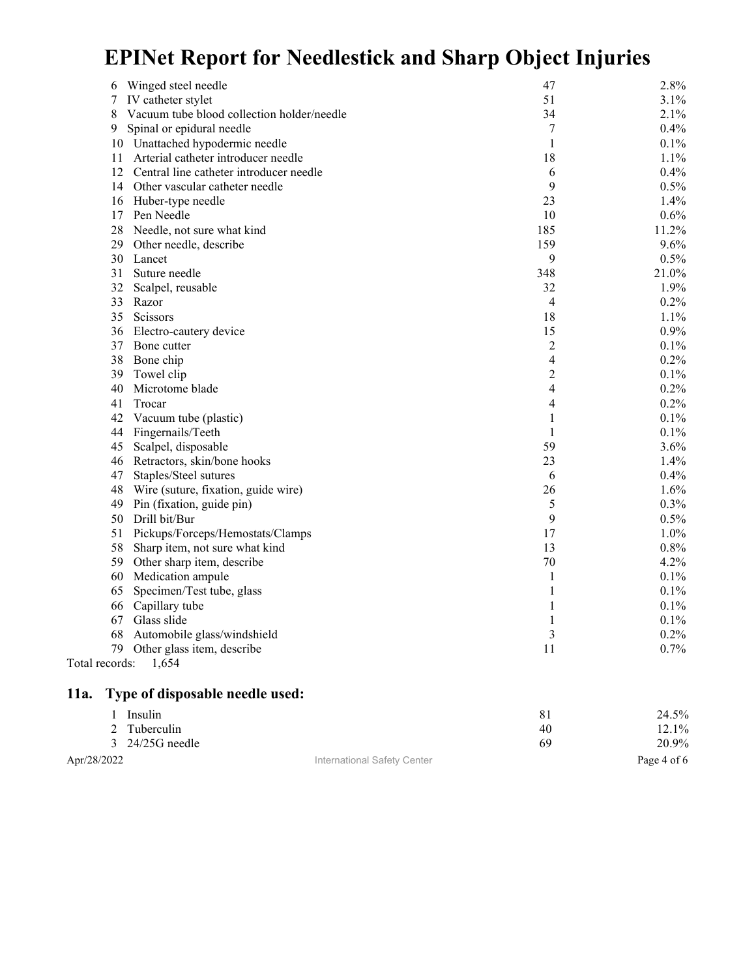| Winged steel needle<br>6                        | 47             | 2.8%  |
|-------------------------------------------------|----------------|-------|
| IV catheter stylet<br>7                         | 51             | 3.1%  |
| Vacuum tube blood collection holder/needle<br>8 | 34             | 2.1%  |
| Spinal or epidural needle<br>9                  | 7              | 0.4%  |
| 10 Unattached hypodermic needle                 | 1              | 0.1%  |
| Arterial catheter introducer needle<br>11       | 18             | 1.1%  |
| 12<br>Central line catheter introducer needle   | 6              | 0.4%  |
| 14<br>Other vascular catheter needle            | 9              | 0.5%  |
| 16 Huber-type needle                            | 23             | 1.4%  |
| 17<br>Pen Needle                                | 10             | 0.6%  |
| 28<br>Needle, not sure what kind                | 185            | 11.2% |
| 29<br>Other needle, describe                    | 159            | 9.6%  |
| 30 Lancet                                       | 9              | 0.5%  |
| 31<br>Suture needle                             | 348            | 21.0% |
| 32<br>Scalpel, reusable                         | 32             | 1.9%  |
| 33<br>Razor                                     | 4              | 0.2%  |
| 35<br>Scissors                                  | 18             | 1.1%  |
| 36<br>Electro-cautery device                    | 15             | 0.9%  |
| 37 Bone cutter                                  | $\overline{c}$ | 0.1%  |
| 38<br>Bone chip                                 | 4              | 0.2%  |
| 39<br>Towel clip                                | $\overline{c}$ | 0.1%  |
| Microtome blade<br>40                           | 4              | 0.2%  |
| 41<br>Trocar                                    | 4              | 0.2%  |
| 42<br>Vacuum tube (plastic)                     | 1              | 0.1%  |
| Fingernails/Teeth<br>44                         | 1              | 0.1%  |
| 45<br>Scalpel, disposable                       | 59             | 3.6%  |
| Retractors, skin/bone hooks<br>46               | 23             | 1.4%  |
| 47<br>Staples/Steel sutures                     | 6              | 0.4%  |
| Wire (suture, fixation, guide wire)<br>48       | 26             | 1.6%  |
| 49<br>Pin (fixation, guide pin)                 | 5              | 0.3%  |
| Drill bit/Bur<br>50                             | 9              | 0.5%  |
| 51<br>Pickups/Forceps/Hemostats/Clamps          | 17             | 1.0%  |
| 58<br>Sharp item, not sure what kind            | 13             | 0.8%  |
| 59<br>Other sharp item, describe                | 70             | 4.2%  |
| 60<br>Medication ampule                         | 1              | 0.1%  |
| Specimen/Test tube, glass<br>65                 | $\mathbf{1}$   | 0.1%  |
| Capillary tube<br>66                            | $\mathbf{1}$   | 0.1%  |
| 67<br>Glass slide                               | $\mathbf{1}$   | 0.1%  |
| 68 Automobile glass/windshield                  | 3              | 0.2%  |
| Other glass item, describe<br>79                | 11             | 0.7%  |
| Total records:<br>1,654                         |                |       |
| Type of disposable needle used:<br>11a.         |                |       |
| Insulin<br>1                                    | 81             | 24.5% |
| Tuberculin<br>2                                 | 40             | 12.1% |
| 24/25G needle<br>$\mathbf{3}$                   | 69             | 20.9% |

Apr/28/2022 **International Safety Center Page 4 of 6** Page 4 of 6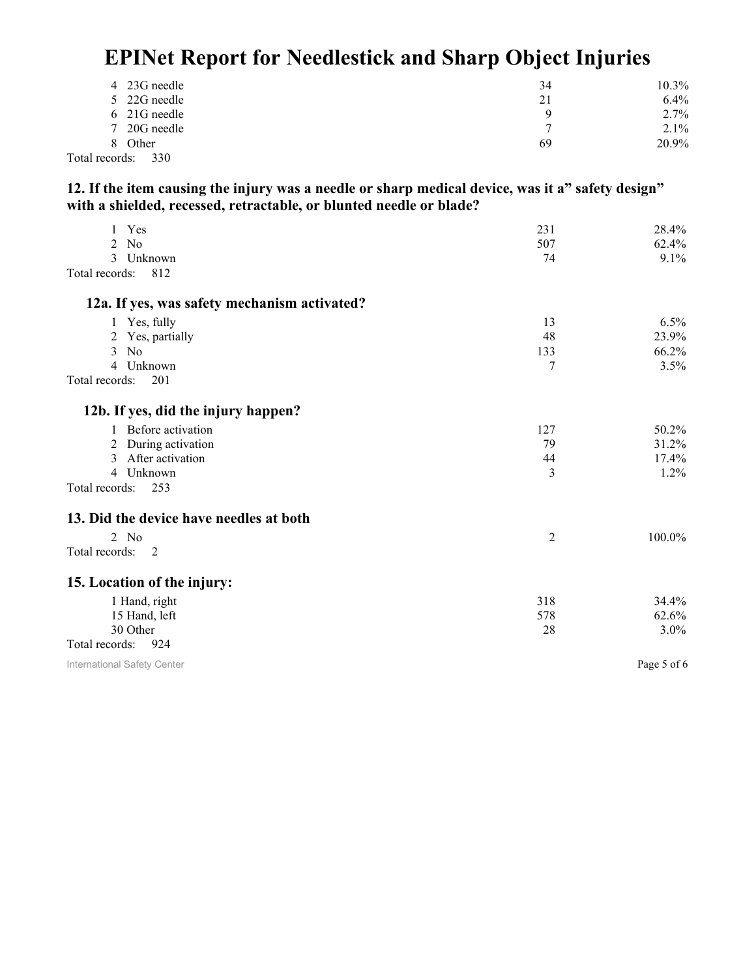| 4 23G needle          | 34       | $10.3\%$ |
|-----------------------|----------|----------|
| 5 22G needle          | 21       | $6.4\%$  |
| 6 21G needle          | $\Omega$ | 2.7%     |
| 7 20G needle          |          | $2.1\%$  |
| 8 Other               | 69       | 20.9%    |
| Total records:<br>330 |          |          |

**12. If the item causing the injury was a needle or sharp medical device, was it a" safety design" with a shielded, recessed, retractable, or blunted needle or blade?** 

| Yes<br>$\mathbf{1}$                          | 231            | 28.4%       |
|----------------------------------------------|----------------|-------------|
| 2<br>N <sub>o</sub>                          | 507            | 62.4%       |
| $\mathcal{E}$<br>Unknown                     | 74             | 9.1%        |
| 812<br>Total records:                        |                |             |
| 12a. If yes, was safety mechanism activated? |                |             |
| 1 Yes, fully                                 | 13             | 6.5%        |
| 2 Yes, partially                             | 48             | 23.9%       |
| $3$ No                                       | 133            | 66.2%       |
| Unknown<br>$\overline{4}$                    | 7              | 3.5%        |
| Total records:<br>201                        |                |             |
| 12b. If yes, did the injury happen?          |                |             |
| 1 Before activation                          | 127            | 50.2%       |
| During activation<br>2                       | 79             | 31.2%       |
| After activation<br>3                        | 44             | 17.4%       |
| Unknown<br>$\overline{4}$                    | 3              | 1.2%        |
| Total records:<br>253                        |                |             |
| 13. Did the device have needles at both      |                |             |
| $2$ No                                       | $\overline{2}$ | 100.0%      |
| Total records:<br>- 2                        |                |             |
| 15. Location of the injury:                  |                |             |
| 1 Hand, right                                | 318            | 34.4%       |
| 15 Hand, left                                | 578            | 62.6%       |
| 30 Other                                     | 28             | 3.0%        |
| Total records:<br>924                        |                |             |
| International Safety Center                  |                | Page 5 of 6 |